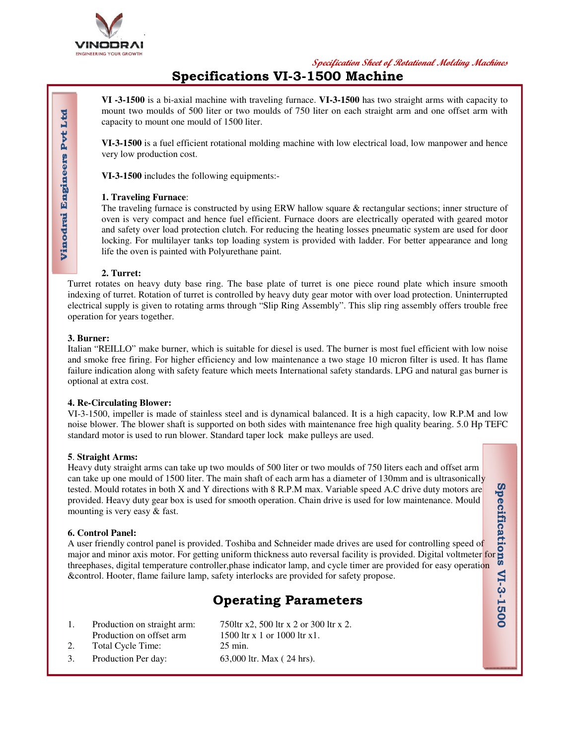

**Specification Sheet of Rotational Molding Machines**

**Specification**

**s**

**VI-3-1500**

VI-3-1500

## **Specifications VI-3-1500 Machine**

**VI -3-1500** is a bi-axial machine with traveling furnace. **VI-3-1500** has two straight arms with capacity to mount two moulds of 500 liter or two moulds of 750 liter on each straight arm and one offset arm with capacity to mount one mould of 1500 liter.

**VI-3-1500** is a fuel efficient rotational molding machine with low electrical load, low manpower and hence very low production cost.

**VI-3-1500** includes the following equipments:-

#### **1. Traveling Furnace**:

The traveling furnace is constructed by using ERW hallow square & rectangular sections; inner structure of oven is very compact and hence fuel efficient. Furnace doors are electrically operated with geared motor and safety over load protection clutch. For reducing the heating losses pneumatic system are used for door locking. For multilayer tanks top loading system is provided with ladder. For better appearance and long life the oven is painted with Polyurethane paint.

#### **2. Turret:**

Turret rotates on heavy duty base ring. The base plate of turret is one piece round plate which insure smooth indexing of turret. Rotation of turret is controlled by heavy duty gear motor with over load protection. Uninterrupted electrical supply is given to rotating arms through "Slip Ring Assembly". This slip ring assembly offers trouble free operation for years together.

#### **3. Burner:**

Vinodrai Engineers Pvt Ltd

Italian "REILLO" make burner, which is suitable for diesel is used. The burner is most fuel efficient with low noise and smoke free firing. For higher efficiency and low maintenance a two stage 10 micron filter is used. It has flame failure indication along with safety feature which meets International safety standards. LPG and natural gas burner is optional at extra cost.

#### **4. Re-Circulating Blower:**

VI-3-1500, impeller is made of stainless steel and is dynamical balanced. It is a high capacity, low R.P.M and low noise blower. The blower shaft is supported on both sides with maintenance free high quality bearing. 5.0 Hp TEFC standard motor is used to run blower. Standard taper lock make pulleys are used.

#### **5**. **Straight Arms:**

Heavy duty straight arms can take up two moulds of 500 liter or two moulds of 750 liters each and offset arm can take up one mould of 1500 liter. The main shaft of each arm has a diameter of 130mm and is ultrasonically tested. Mould rotates in both X and Y directions with 8 R.P.M max. Variable speed A.C drive duty motors are provided. Heavy duty gear box is used for smooth operation. Chain drive is used for low maintenance. Mould mounting is very easy & fast.

#### **6. Control Panel:**

A user friendly control panel is provided. Toshiba and Schneider made drives are used for controlling speed of major and minor axis motor. For getting uniform thickness auto reversal facility is provided. Digital voltmeter for threephases, digital temperature controller,phase indicator lamp, and cycle timer are provided for easy operation &control. Hooter, flame failure lamp, safety interlocks are provided for safety propose.

# **Operating Parameters**

1. Production on straight arm: Production on offset arm 750ltr x2, 500 ltr x 2 or 300 ltr x 2. 1500 ltr x 1 or 1000 ltr x1. 2. Total Cycle Time: 25 min. 3. Production Per day: 63,000 ltr. Max ( 24 hrs).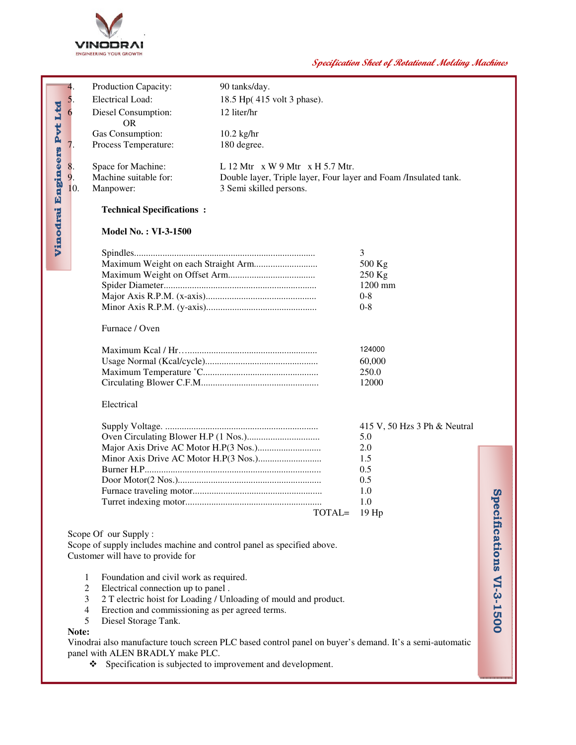

### **Specification Sheet of Rotational Molding Machines**

|                                                                                                                                             | 4.                                                                     | Production Capacity:             | 90 tanks/day.                                                    |                              |                         |  |
|---------------------------------------------------------------------------------------------------------------------------------------------|------------------------------------------------------------------------|----------------------------------|------------------------------------------------------------------|------------------------------|-------------------------|--|
|                                                                                                                                             | 5                                                                      | Electrical Load:                 | 18.5 Hp(415 volt 3 phase).                                       |                              |                         |  |
|                                                                                                                                             |                                                                        | Diesel Consumption:              | 12 liter/hr                                                      |                              |                         |  |
|                                                                                                                                             |                                                                        | <b>OR</b>                        |                                                                  |                              |                         |  |
|                                                                                                                                             |                                                                        | Gas Consumption:                 | $10.2$ kg/hr                                                     |                              |                         |  |
|                                                                                                                                             |                                                                        | Process Temperature:             | 180 degree.                                                      |                              |                         |  |
|                                                                                                                                             |                                                                        |                                  |                                                                  |                              |                         |  |
|                                                                                                                                             | 8.                                                                     | Space for Machine:               | L 12 Mtr $x W 9 Mtr x H 5.7 Mtr$ .                               |                              |                         |  |
|                                                                                                                                             |                                                                        | Machine suitable for:            | Double layer, Triple layer, Four layer and Foam /Insulated tank. |                              |                         |  |
|                                                                                                                                             | 10.                                                                    | Manpower:                        | 3 Semi skilled persons.                                          |                              |                         |  |
|                                                                                                                                             |                                                                        |                                  |                                                                  |                              |                         |  |
| Vinodrai Engineers Pvt Ltd                                                                                                                  |                                                                        | <b>Technical Specifications:</b> |                                                                  |                              |                         |  |
|                                                                                                                                             |                                                                        |                                  | <b>Model No.: VI-3-1500</b>                                      |                              |                         |  |
|                                                                                                                                             |                                                                        |                                  |                                                                  |                              |                         |  |
|                                                                                                                                             |                                                                        |                                  |                                                                  | 3                            |                         |  |
|                                                                                                                                             |                                                                        |                                  |                                                                  | 500 Kg                       |                         |  |
|                                                                                                                                             |                                                                        |                                  |                                                                  | 250 Kg                       |                         |  |
|                                                                                                                                             |                                                                        |                                  |                                                                  | 1200 mm                      |                         |  |
|                                                                                                                                             |                                                                        |                                  |                                                                  | $0 - 8$                      |                         |  |
|                                                                                                                                             |                                                                        |                                  |                                                                  | $0 - 8$                      |                         |  |
|                                                                                                                                             |                                                                        |                                  |                                                                  |                              |                         |  |
|                                                                                                                                             | Furnace / Oven                                                         |                                  |                                                                  |                              |                         |  |
| 124000                                                                                                                                      |                                                                        |                                  |                                                                  |                              |                         |  |
|                                                                                                                                             |                                                                        |                                  |                                                                  | 60,000                       |                         |  |
|                                                                                                                                             |                                                                        |                                  |                                                                  | 250.0                        |                         |  |
|                                                                                                                                             |                                                                        |                                  |                                                                  | 12000                        |                         |  |
|                                                                                                                                             |                                                                        |                                  |                                                                  |                              |                         |  |
|                                                                                                                                             |                                                                        | Electrical                       |                                                                  |                              |                         |  |
|                                                                                                                                             |                                                                        |                                  |                                                                  | 415 V, 50 Hzs 3 Ph & Neutral |                         |  |
|                                                                                                                                             |                                                                        |                                  | 5.0                                                              |                              |                         |  |
|                                                                                                                                             |                                                                        |                                  |                                                                  | 2.0                          |                         |  |
|                                                                                                                                             |                                                                        |                                  |                                                                  | 1.5                          |                         |  |
|                                                                                                                                             |                                                                        |                                  |                                                                  | 0.5                          |                         |  |
|                                                                                                                                             |                                                                        |                                  |                                                                  | 0.5                          |                         |  |
|                                                                                                                                             |                                                                        |                                  |                                                                  | 1.0                          | $\boldsymbol{\omega}$   |  |
|                                                                                                                                             |                                                                        |                                  |                                                                  | 1.0                          |                         |  |
|                                                                                                                                             |                                                                        |                                  | TOTAL=                                                           | $19$ Hp                      |                         |  |
|                                                                                                                                             |                                                                        |                                  |                                                                  |                              |                         |  |
|                                                                                                                                             |                                                                        | Scope Of our Supply:             |                                                                  |                              |                         |  |
|                                                                                                                                             | Scope of supply includes machine and control panel as specified above. |                                  |                                                                  |                              |                         |  |
|                                                                                                                                             | Customer will have to provide for                                      |                                  |                                                                  |                              |                         |  |
|                                                                                                                                             |                                                                        |                                  |                                                                  |                              |                         |  |
| Foundation and civil work as required.<br>1                                                                                                 |                                                                        |                                  |                                                                  |                              |                         |  |
|                                                                                                                                             | 2<br>Electrical connection up to panel.                                |                                  |                                                                  |                              |                         |  |
|                                                                                                                                             | 3<br>2 T electric hoist for Loading / Unloading of mould and product.  |                                  |                                                                  |                              |                         |  |
|                                                                                                                                             | Erection and commissioning as per agreed terms.<br>4                   |                                  |                                                                  |                              |                         |  |
|                                                                                                                                             | 5<br>Diesel Storage Tank.                                              |                                  |                                                                  |                              | pecifications VI-3-1500 |  |
| Note:                                                                                                                                       |                                                                        |                                  |                                                                  |                              |                         |  |
| Vinodrai also manufacture touch screen PLC based control panel on buyer's demand. It's a semi-automatic<br>panel with ALEN BRADLY make PLC. |                                                                        |                                  |                                                                  |                              |                         |  |
| Specification is subjected to improvement and development.<br>❖                                                                             |                                                                        |                                  |                                                                  |                              |                         |  |
|                                                                                                                                             |                                                                        |                                  |                                                                  |                              |                         |  |
|                                                                                                                                             |                                                                        |                                  |                                                                  |                              |                         |  |